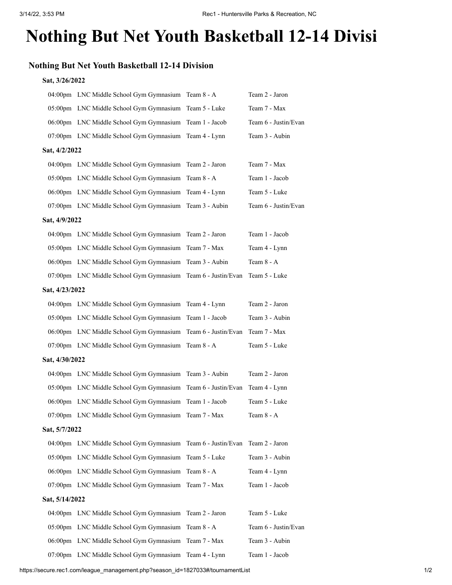## **Nothing But Net Youth Basketball 12-14 Divisi**

## **Nothing But Net Youth Basketball 12-14 Division**

## **Sat, 3/26/2022**

|                |                | 04:00pm LNC Middle School Gym Gymnasium Team 8 - A           |                      | Team 2 - Jaron       |  |  |  |
|----------------|----------------|--------------------------------------------------------------|----------------------|----------------------|--|--|--|
|                |                | 05:00pm LNC Middle School Gym Gymnasium                      | Team 5 - Luke        | Team 7 - Max         |  |  |  |
|                |                | 06:00pm LNC Middle School Gym Gymnasium                      | Team 1 - Jacob       | Team 6 - Justin/Evan |  |  |  |
|                |                | 07:00pm LNC Middle School Gym Gymnasium                      | Team 4 - Lynn        | Team 3 - Aubin       |  |  |  |
| Sat, 4/2/2022  |                |                                                              |                      |                      |  |  |  |
|                |                | 04:00pm LNC Middle School Gym Gymnasium Team 2 - Jaron       |                      | Team 7 - Max         |  |  |  |
|                |                | 05:00pm LNC Middle School Gym Gymnasium Team 8 - A           |                      | Team 1 - Jacob       |  |  |  |
|                |                | 06:00pm LNC Middle School Gym Gymnasium Team 4 - Lynn        |                      | Team 5 - Luke        |  |  |  |
|                |                | 07:00pm LNC Middle School Gym Gymnasium Team 3 - Aubin       |                      | Team 6 - Justin/Evan |  |  |  |
| Sat, 4/9/2022  |                |                                                              |                      |                      |  |  |  |
|                |                | 04:00pm LNC Middle School Gym Gymnasium Team 2 - Jaron       |                      | Team 1 - Jacob       |  |  |  |
|                |                | 05:00pm LNC Middle School Gym Gymnasium Team 7 - Max         |                      | Team 4 - Lynn        |  |  |  |
|                |                | 06:00pm LNC Middle School Gym Gymnasium Team 3 - Aubin       |                      | Team 8 - A           |  |  |  |
|                |                | 07:00pm LNC Middle School Gym Gymnasium Team 6 - Justin/Evan |                      | Team 5 - Luke        |  |  |  |
| Sat, 4/23/2022 |                |                                                              |                      |                      |  |  |  |
|                |                | 04:00pm LNC Middle School Gym Gymnasium Team 4 - Lynn        |                      | Team 2 - Jaron       |  |  |  |
|                |                | 05:00pm LNC Middle School Gym Gymnasium Team 1 - Jacob       |                      | Team 3 - Aubin       |  |  |  |
|                |                | 06:00pm LNC Middle School Gym Gymnasium Team 6 - Justin/Evan |                      | Team 7 - Max         |  |  |  |
|                |                | 07:00pm LNC Middle School Gym Gymnasium                      | Team 8 - A           | Team 5 - Luke        |  |  |  |
|                | Sat, 4/30/2022 |                                                              |                      |                      |  |  |  |
|                |                | 04:00pm LNC Middle School Gym Gymnasium Team 3 - Aubin       |                      | Team 2 - Jaron       |  |  |  |
|                |                | 05:00pm LNC Middle School Gym Gymnasium                      | Team 6 - Justin/Evan | Team 4 - Lynn        |  |  |  |
|                |                | 06:00pm LNC Middle School Gym Gymnasium                      | Team 1 - Jacob       | Team 5 - Luke        |  |  |  |
|                |                | 07:00pm LNC Middle School Gym Gymnasium                      | Team 7 - Max         | Team 8 - A           |  |  |  |
| Sat, 5/7/2022  |                |                                                              |                      |                      |  |  |  |
|                |                | 04:00pm LNC Middle School Gym Gymnasium Team 6 - Justin/Evan |                      | Team 2 - Jaron       |  |  |  |
|                |                | 05:00pm LNC Middle School Gym Gymnasium                      | Team 5 - Luke        | Team 3 - Aubin       |  |  |  |
|                |                | 06:00pm LNC Middle School Gym Gymnasium                      | Team 8 - A           | Team 4 - Lynn        |  |  |  |
|                |                | 07:00pm LNC Middle School Gym Gymnasium                      | Team 7 - Max         | Team 1 - Jacob       |  |  |  |
| Sat, 5/14/2022 |                |                                                              |                      |                      |  |  |  |
|                |                | 04:00pm LNC Middle School Gym Gymnasium Team 2 - Jaron       |                      | Team 5 - Luke        |  |  |  |
|                |                | 05:00pm LNC Middle School Gym Gymnasium                      | Team 8 - A           | Team 6 - Justin/Evan |  |  |  |
|                |                | 06:00pm LNC Middle School Gym Gymnasium                      | Team 7 - Max         | Team 3 - Aubin       |  |  |  |
|                |                | 07:00pm LNC Middle School Gym Gymnasium Team 4 - Lynn        |                      | Team 1 - Jacob       |  |  |  |
|                |                |                                                              |                      |                      |  |  |  |